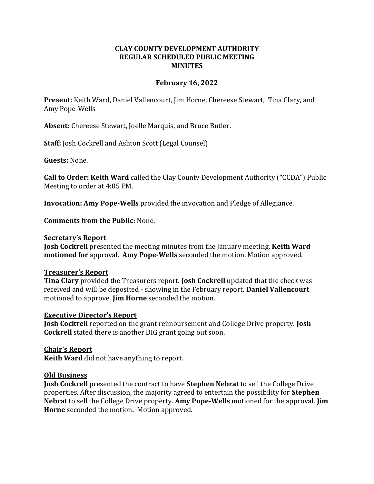# **CLAY COUNTY DEVELOPMENT AUTHORITY REGULAR SCHEDULED PUBLIC MEETING MINUTES**

## **February 16, 2022**

**Present:** Keith Ward, Daniel Vallencourt, Jim Horne, Chereese Stewart, Tina Clary, and Amy Pope-Wells

**Absent:** Chereese Stewart, Joelle Marquis, and Bruce Butler.

**Staff:** Josh Cockrell and Ashton Scott (Legal Counsel)

**Guests:** None.

**Call to Order: Keith Ward** called the Clay County Development Authority ("CCDA") Public Meeting to order at 4:05 PM.

**Invocation: Amy Pope-Wells** provided the invocation and Pledge of Allegiance.

**Comments from the Public:** None.

#### **Secretary's Report**

**Josh Cockrell** presented the meeting minutes from the January meeting. **Keith Ward motioned for** approval. **Amy Pope-Wells** seconded the motion. Motion approved.

### **Treasurer's Report**

**Tina Clary** provided the Treasurers report. **Josh Cockrell** updated that the check was received and will be deposited - showing in the February report. **Daniel Vallencourt** motioned to approve. **Jim Horne** seconded the motion.

### **Executive Director's Report**

**Josh Cockrell** reported on the grant reimbursement and College Drive property. **Josh Cockrell** stated there is another DIG grant going out soon.

**Chair's Report**

**Keith Ward** did not have anything to report.

### **Old Business**

**Josh Cockrell** presented the contract to have **Stephen Nebrat** to sell the College Drive properties. After discussion, the majority agreed to entertain the possibility for **Stephen Nebrat** to sell the College Drive property. **Amy Pope-Wells** motioned for the approval. **Jim Horne** seconded the motion**.** Motion approved.